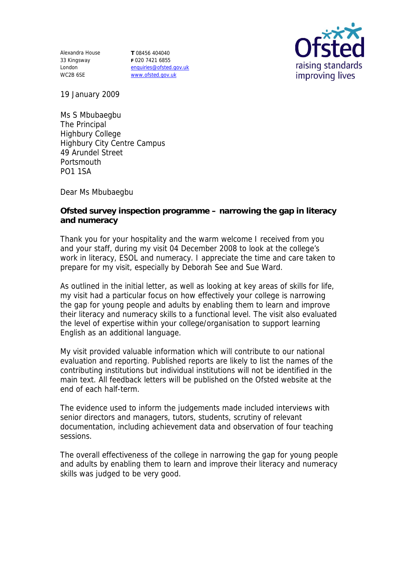Alexandra House 33 Kingsway London WC2B 6SE

**T** 08456 404040 **F** 020 7421 6855 enquiries@ofsted.gov.uk www.ofsted.gov.uk



19 January 2009

Ms S Mbubaegbu The Principal Highbury College Highbury City Centre Campus 49 Arundel Street **Portsmouth** PO1 1SA

Dear Ms Mbubaegbu

**Ofsted survey inspection programme – narrowing the gap in literacy and numeracy**

Thank you for your hospitality and the warm welcome I received from you and your staff, during my visit 04 December 2008 to look at the college's work in literacy, ESOL and numeracy. I appreciate the time and care taken to prepare for my visit, especially by Deborah See and Sue Ward.

As outlined in the initial letter, as well as looking at key areas of skills for life, my visit had a particular focus on how effectively your college is narrowing the gap for young people and adults by enabling them to learn and improve their literacy and numeracy skills to a functional level. The visit also evaluated the level of expertise within your college/organisation to support learning English as an additional language.

My visit provided valuable information which will contribute to our national evaluation and reporting. Published reports are likely to list the names of the contributing institutions but individual institutions will not be identified in the main text. All feedback letters will be published on the Ofsted website at the end of each half-term.

The evidence used to inform the judgements made included interviews with senior directors and managers, tutors, students, scrutiny of relevant documentation, including achievement data and observation of four teaching sessions.

The overall effectiveness of the college in narrowing the gap for young people and adults by enabling them to learn and improve their literacy and numeracy skills was judged to be very good.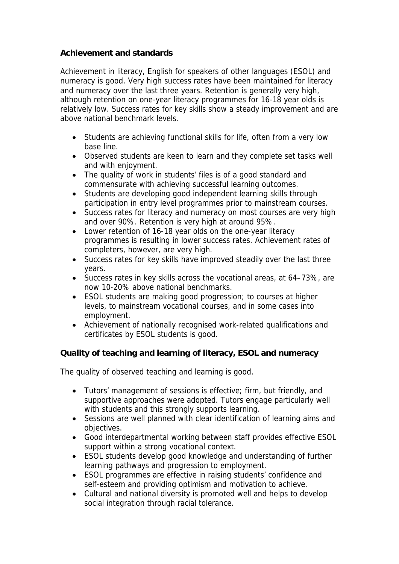## **Achievement and standards**

Achievement in literacy, English for speakers of other languages (ESOL) and numeracy is good. Very high success rates have been maintained for literacy and numeracy over the last three years. Retention is generally very high, although retention on one-year literacy programmes for 16-18 year olds is relatively low. Success rates for key skills show a steady improvement and are above national benchmark levels.

- Students are achieving functional skills for life, often from a very low base line.
- Observed students are keen to learn and they complete set tasks well and with enjoyment.
- The quality of work in students' files is of a good standard and commensurate with achieving successful learning outcomes.
- Students are developing good independent learning skills through participation in entry level programmes prior to mainstream courses.
- Success rates for literacy and numeracy on most courses are very high and over 90%. Retention is very high at around 95%.
- Lower retention of 16-18 year olds on the one-year literacy programmes is resulting in lower success rates. Achievement rates of completers, however, are very high.
- Success rates for key skills have improved steadily over the last three years.
- Success rates in key skills across the vocational areas, at 64–73%, are now 10-20% above national benchmarks.
- ESOL students are making good progression; to courses at higher levels, to mainstream vocational courses, and in some cases into employment.
- Achievement of nationally recognised work-related qualifications and certificates by ESOL students is good.

**Quality of teaching and learning of literacy, ESOL and numeracy**

The quality of observed teaching and learning is good.

- Tutors' management of sessions is effective; firm, but friendly, and supportive approaches were adopted. Tutors engage particularly well with students and this strongly supports learning.
- Sessions are well planned with clear identification of learning aims and objectives.
- Good interdepartmental working between staff provides effective ESOL support within a strong vocational context.
- ESOL students develop good knowledge and understanding of further learning pathways and progression to employment.
- ESOL programmes are effective in raising students' confidence and self-esteem and providing optimism and motivation to achieve.
- Cultural and national diversity is promoted well and helps to develop social integration through racial tolerance.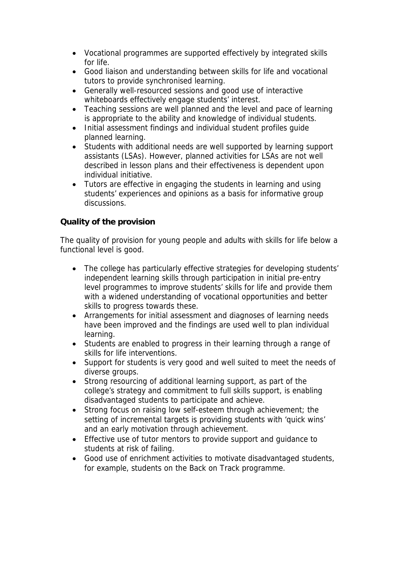- Vocational programmes are supported effectively by integrated skills for life.
- Good liaison and understanding between skills for life and vocational tutors to provide synchronised learning.
- Generally well-resourced sessions and good use of interactive whiteboards effectively engage students' interest.
- Teaching sessions are well planned and the level and pace of learning is appropriate to the ability and knowledge of individual students.
- Initial assessment findings and individual student profiles quide planned learning.
- Students with additional needs are well supported by learning support assistants (LSAs). However, planned activities for LSAs are not well described in lesson plans and their effectiveness is dependent upon individual initiative.
- Tutors are effective in engaging the students in learning and using students' experiences and opinions as a basis for informative group discussions.

## **Quality of the provision**

The quality of provision for young people and adults with skills for life below a functional level is good.

- The college has particularly effective strategies for developing students' independent learning skills through participation in initial pre-entry level programmes to improve students' skills for life and provide them with a widened understanding of vocational opportunities and better skills to progress towards these.
- Arrangements for initial assessment and diagnoses of learning needs have been improved and the findings are used well to plan individual learning.
- Students are enabled to progress in their learning through a range of skills for life interventions.
- Support for students is very good and well suited to meet the needs of diverse groups.
- Strong resourcing of additional learning support, as part of the college's strategy and commitment to full skills support, is enabling disadvantaged students to participate and achieve.
- Strong focus on raising low self-esteem through achievement; the setting of incremental targets is providing students with 'quick wins' and an early motivation through achievement.
- Effective use of tutor mentors to provide support and guidance to students at risk of failing.
- Good use of enrichment activities to motivate disadvantaged students, for example, students on the Back on Track programme.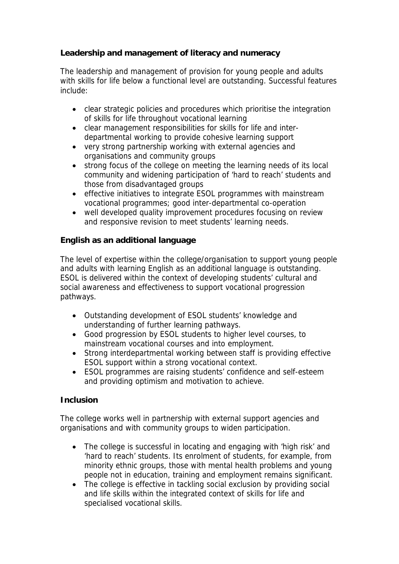**Leadership and management of literacy and numeracy**

The leadership and management of provision for young people and adults with skills for life below a functional level are outstanding. Successful features include:

- clear strategic policies and procedures which prioritise the integration of skills for life throughout vocational learning
- clear management responsibilities for skills for life and interdepartmental working to provide cohesive learning support
- very strong partnership working with external agencies and organisations and community groups
- strong focus of the college on meeting the learning needs of its local community and widening participation of 'hard to reach' students and those from disadvantaged groups
- effective initiatives to integrate ESOL programmes with mainstream vocational programmes; good inter-departmental co-operation
- well developed quality improvement procedures focusing on review and responsive revision to meet students' learning needs.

## **English as an additional language**

The level of expertise within the college/organisation to support young people and adults with learning English as an additional language is outstanding. ESOL is delivered within the context of developing students' cultural and social awareness and effectiveness to support vocational progression pathways.

- Outstanding development of ESOL students' knowledge and understanding of further learning pathways.
- Good progression by ESOL students to higher level courses, to mainstream vocational courses and into employment.
- Strong interdepartmental working between staff is providing effective ESOL support within a strong vocational context.
- ESOL programmes are raising students' confidence and self-esteem and providing optimism and motivation to achieve.

## **Inclusion**

The college works well in partnership with external support agencies and organisations and with community groups to widen participation.

- The college is successful in locating and engaging with 'high risk' and 'hard to reach' students. Its enrolment of students, for example, from minority ethnic groups, those with mental health problems and young people not in education, training and employment remains significant.
- The college is effective in tackling social exclusion by providing social and life skills within the integrated context of skills for life and specialised vocational skills.